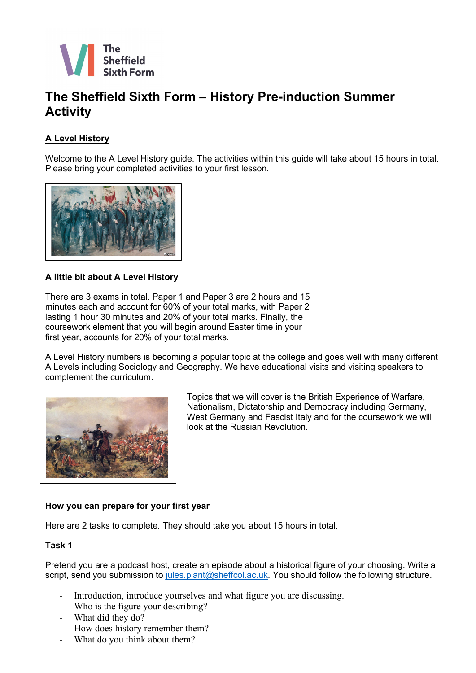

# **The Sheffield Sixth Form – History Pre-induction Summer Activity**

## **A Level History**

Welcome to the A Level History guide. The activities within this guide will take about 15 hours in total. Please bring your completed activities to your first lesson.



#### **A little bit about A Level History**

There are 3 exams in total. Paper 1 and Paper 3 are 2 hours and 15 minutes each and account for 60% of your total marks, with Paper 2 lasting 1 hour 30 minutes and 20% of your total marks. Finally, the coursework element that you will begin around Easter time in your first year, accounts for 20% of your total marks.

A Level History numbers is becoming a popular topic at the college and goes well with many different A Levels including Sociology and Geography. We have educational visits and visiting speakers to complement the curriculum.



Topics that we will cover is the British Experience of Warfare, Nationalism, Dictatorship and Democracy including Germany, West Germany and Fascist Italy and for the coursework we will look at the Russian Revolution.

### **How you can prepare for your first year**

Here are 2 tasks to complete. They should take you about 15 hours in total.

#### **Task 1**

Pretend you are a podcast host, create an episode about a historical figure of your choosing. Write a script, send you submission to [jules.plant@sheffcol.ac.uk.](mailto:jules.plant@seffcol.ac.uk) You should follow the following structure.

- Introduction, introduce yourselves and what figure you are discussing.
- Who is the figure your describing?
- What did they do?
- How does history remember them?
- What do you think about them?